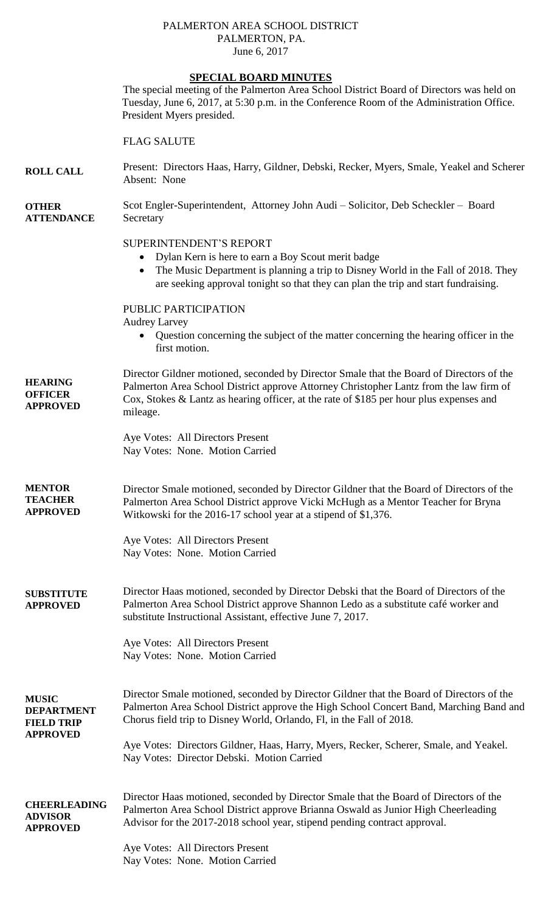## PALMERTON AREA SCHOOL DISTRICT PALMERTON, PA. June 6, 2017

## **SPECIAL BOARD MINUTES**

The special meeting of the Palmerton Area School District Board of Directors was held on Tuesday, June 6, 2017, at 5:30 p.m. in the Conference Room of the Administration Office. President Myers presided.

## FLAG SALUTE

| <b>ROLL CALL</b>                  | Present: Directors Haas, Harry, Gildner, Debski, Recker, Myers, Smale, Yeakel and Scherer<br>Absent: None                                                                                                                                                                                 |
|-----------------------------------|-------------------------------------------------------------------------------------------------------------------------------------------------------------------------------------------------------------------------------------------------------------------------------------------|
| <b>OTHER</b><br><b>ATTENDANCE</b> | Scot Engler-Superintendent, Attorney John Audi – Solicitor, Deb Scheckler – Board<br>Secretary                                                                                                                                                                                            |
|                                   | <b>SUPERINTENDENT'S REPORT</b><br>Dylan Kern is here to earn a Boy Scout merit badge<br>$\bullet$<br>The Music Department is planning a trip to Disney World in the Fall of 2018. They<br>$\bullet$<br>are seeking approval tonight so that they can plan the trip and start fundraising. |

PUBLIC PARTICIPATION

Audrey Larvey

 Question concerning the subject of the matter concerning the hearing officer in the first motion.

**HEARING OFFICER APPROVED** Director Gildner motioned, seconded by Director Smale that the Board of Directors of the Palmerton Area School District approve Attorney Christopher Lantz from the law firm of Cox, Stokes & Lantz as hearing officer, at the rate of \$185 per hour plus expenses and mileage.

> Aye Votes: All Directors Present Nay Votes: None. Motion Carried

**MENTOR TEACHER APPROVED** Director Smale motioned, seconded by Director Gildner that the Board of Directors of the Palmerton Area School District approve Vicki McHugh as a Mentor Teacher for Bryna Witkowski for the 2016-17 school year at a stipend of \$1,376.

> Aye Votes: All Directors Present Nay Votes: None. Motion Carried

**SUBSTITUTE APPROVED** Director Haas motioned, seconded by Director Debski that the Board of Directors of the Palmerton Area School District approve Shannon Ledo as a substitute café worker and substitute Instructional Assistant, effective June 7, 2017.

> Aye Votes: All Directors Present Nay Votes: None. Motion Carried

**APPROVED**

**MUSIC DEPARTMENT FIELD TRIP** Director Smale motioned, seconded by Director Gildner that the Board of Directors of the Palmerton Area School District approve the High School Concert Band, Marching Band and Chorus field trip to Disney World, Orlando, Fl, in the Fall of 2018.

> Aye Votes: Directors Gildner, Haas, Harry, Myers, Recker, Scherer, Smale, and Yeakel. Nay Votes: Director Debski. Motion Carried

**CHEERLEADING ADVISOR APPROVED** Director Haas motioned, seconded by Director Smale that the Board of Directors of the Palmerton Area School District approve Brianna Oswald as Junior High Cheerleading Advisor for the 2017-2018 school year, stipend pending contract approval.

> Aye Votes: All Directors Present Nay Votes: None. Motion Carried